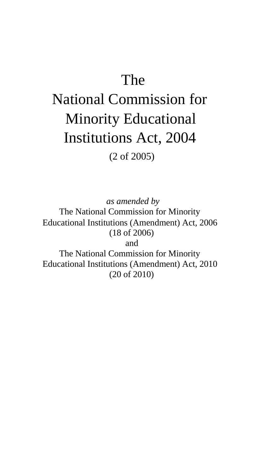## The

# National Commission for Minority Educational Institutions Act, 2004 (2 of 2005)

*as amended by* The National Commission for Minority Educational Institutions (Amendment) Act, 2006 (18 of 2006) and The National Commission for Minority Educational Institutions (Amendment) Act, 2010 (20 of 2010)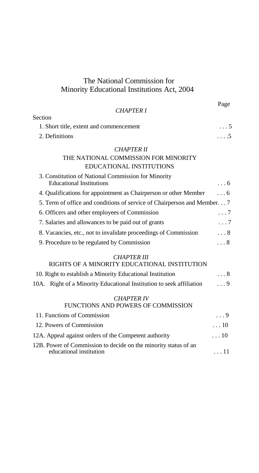### The National Commission for Minority Educational Institutions Act, 2004

|                                                                         | Page        |
|-------------------------------------------------------------------------|-------------|
| <b>CHAPTER 1</b>                                                        |             |
| Section                                                                 |             |
| 1. Short title, extent and commencement                                 | . 5         |
| 2. Definitions                                                          | . 5         |
| <b>CHAPTER II</b>                                                       |             |
| THE NATIONAL COMMISSION FOR MINORITY                                    |             |
| <b>EDUCATIONAL INSTITUTIONS</b>                                         |             |
| 3. Constitution of National Commission for Minority                     |             |
| <b>Educational Institutions</b>                                         | $\ldots 6$  |
| 4. Qualifications for appointment as Chairperson or other Member        | $\ldots$ 6  |
| 5. Term of office and conditions of service of Chairperson and Member 7 |             |
| 6. Officers and other employees of Commission                           | $\ldots 7$  |
| 7. Salaries and allowances to be paid out of grants                     | . 7         |
| 8. Vacancies, etc., not to invalidate proceedings of Commission         | $\ldots 8$  |
| 9. Procedure to be regulated by Commission                              | . 8         |
| <b>CHAPTER III</b>                                                      |             |
| RIGHTS OF A MINORITY EDUCATIONAL INSTITUTION                            |             |
| 10. Right to establish a Minority Educational Institution               | . 8         |
| 10A. Right of a Minority Educational Institution to seek affiliation    | $\ldots 9$  |
| <i>CHAPTER IV</i>                                                       |             |
| FUNCTIONS AND POWERS OF COMMISSION                                      |             |
| 11. Functions of Commission                                             | $\ldots 9$  |
| 12. Powers of Commission                                                | $\ldots$ 10 |
| 12A. Appeal against orders of the Competent authority                   | $\ldots 10$ |
| 12B. Power of Commission to decide on the minority status of an         |             |

educational institution  $\ldots$  11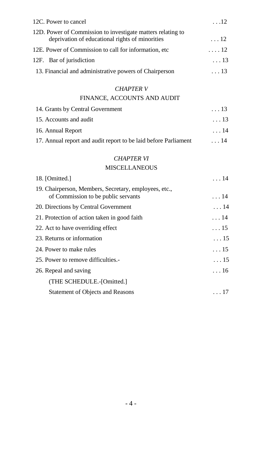| 12C. Power to cancel                                                                                           | $\dots 12$  |
|----------------------------------------------------------------------------------------------------------------|-------------|
| 12D. Power of Commission to investigate matters relating to<br>deprivation of educational rights of minorities | $\ldots$ 12 |
| 12E. Power of Commission to call for information, etc.                                                         | $\ldots$ 12 |
| 12F. Bar of jurisdiction                                                                                       | $\ldots$ 13 |
| 13. Financial and administrative powers of Chairperson                                                         | $\ldots$ 13 |
| <b>CHAPTER V</b>                                                                                               |             |
| FINANCE, ACCOUNTS AND AUDIT                                                                                    |             |
| 14. Grants by Central Government                                                                               | $\ldots$ 13 |
| 15. Accounts and audit                                                                                         | $\ldots$ 13 |
| 16. Annual Report                                                                                              | $\ldots$ 14 |
| 17. Annual report and audit report to be laid before Parliament                                                | $\ldots$ 14 |
| <b>CHAPTER VI</b>                                                                                              |             |
| <b>MISCELLANEOUS</b>                                                                                           |             |
| 18. [Omitted.]                                                                                                 | $\ldots$ 14 |
| 19. Chairperson, Members, Secretary, employees, etc.,<br>of Commission to be public servants                   | $\ldots$ 14 |
| 20. Directions by Central Government                                                                           | $\ldots$ 14 |
| 21. Protection of action taken in good faith                                                                   | 14          |
| 22. Act to have overriding effect                                                                              | $\ldots$ 15 |
| 23. Returns or information                                                                                     | . 15        |
| 24. Power to make rules                                                                                        | $\ldots$ 15 |
| 25. Power to remove difficulties.                                                                              | $\ldots$ 15 |
| 26. Repeal and saving                                                                                          | $\ldots$ 16 |
| (THE SCHEDULE.-[Omitted.]                                                                                      |             |
| <b>Statement of Objects and Reasons</b>                                                                        | $\ldots$ 17 |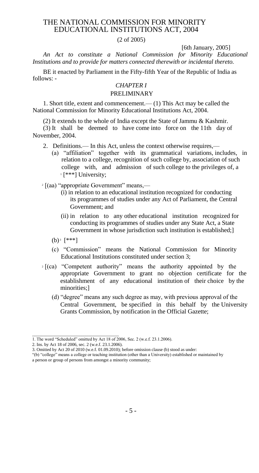#### THE NATIONAL COMMISSION FOR MINORITY EDUCATIONAL INSTITUTIONS ACT, 2004

#### (2 of 2005)

[6th January, 2005]

*An Act to constitute a National Commission for Minority Educational Institutions and to provide for matters connected therewith or incidental thereto.*

BE it enacted by Parliament in the Fifty-fifth Year of the Republic of India as follows: -

#### *CHAPTER I* PRELIMINARY

1. Short title, extent and commencement.— (1) This Act may be called the National Commission for Minority Educational Institutions Act, 2004.

(2) It extends to the whole of India except the State of Jammu & Kashmir.

(3) It shall be deemed to have come into force on the 11th day of November, 2004.

2. Definitions.— In this Act, unless the context otherwise requires,—

(a) "affiliation" together with its grammatical variations, includes, in relation to a college, recognition of such college by, association of such college with, and admission of such college to the privileges of, a  $1$ <sup>\*\*\*</sup>] University;

<sup>2</sup> [(aa) "appropriate Government" means,—

- (i) in relation to an educational institution recognized for conducting its programmes of studies under any Act of Parliament, the Central Government; and
- (ii) in relation to any other educational institution recognized for conducting its programmes of studies under any State Act, a State Government in whose jurisdiction such institution is established;
- $(b)$ <sup>3</sup> [\*\*\*]
- (c) "Commission" means the National Commission for Minority Educational Institutions constituted under section 3;
- <sup>2</sup> [(ca) "Competent authority" means the authority appointed by the appropriate Government to grant no objection certificate for the establishment of any educational institution of their choice by the minorities;]
	- (d) "degree" means any such degree as may, with previous approval of the Central Government, be specified in this behalf by the University Grants Commission, by notification in the Official Gazette;

\_\_\_\_\_\_\_\_\_\_\_\_\_\_\_\_\_\_\_\_\_\_\_\_\_\_\_\_\_\_\_\_\_\_\_\_\_\_\_

"(b) "college" means a college or teaching institution (other than a University) established or maintained by

a person or group of persons from amongst a minority community;

<sup>1.</sup> The word "Scheduled" omitted by Act 18 of 2006, Sec. 2 (w.e.f. 23.1.2006).

<sup>2.</sup> Ins. by Act 18 of 2006, sec. 2 (w.e.f. 23.1.2006).

<sup>3.</sup> Omitted by Act 20 of 2010 (w.e.f. 01.09.2010); before omission clause (b) stood as under: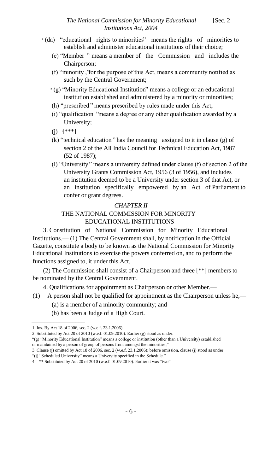- $\alpha$  (da) "educational rights to minorities" means the rights of minorities to establish and administer educational institutions of their choice;
	- (e) "Member" means a member of the Commission and includes the Chairperson;
	- (f) "minority , for the purpose of this Act, means a community notified as " such by the Central Government;
	- $(2)$  "Minority Educational Institution" means a college or an educational institution established and administered by a minority or minorities;
	- (h) "prescribed" means prescribed by rules made under this Act;
	- $(i)$  "qualification" means a degree or any other qualification awarded by a University;
	- (j)  $[$ \*\*\*]
	- $(k)$  "technical education" has the meaning assigned to it in clause  $(g)$  of section 2 of the All India Council for Technical Education Act, 1987 (52 of 1987);
	- (l) "University means a university defined under clause (f) of section 2 of the " University Grants Commission Act, 1956 (3 of 1956), and includes an institution deemed to be a University under section 3 of that Act, or an institution specifically empowered by an Act of Parliament to confer or grant degrees.

#### *CHAPTER II* THE NATIONAL COMMISSION FOR MINORITY EDUCATIONAL INSTITUTIONS

3. Constitution of National Commission for Minority Educational Institutions.— (1) The Central Government shall, by notification in the Official Gazette, constitute a body to be known as the National Commission for Minority Educational Institutions to exercise the powers conferred on, and to perform the functions assigned to, it under this Act.

(2) The Commission shall consist of a Chairperson and three [\*\*] members to <sup>4</sup> be nominated by the Central Government.

4. Qualifications for appointment as Chairperson or other Member.—

- (1) A person shall not be qualified for appointment as the Chairperson unless he,—
	- (a) is a member of a minority community; and
	- (b) has been a Judge of a High Court.

\_\_\_\_\_\_\_\_\_\_\_\_\_\_\_\_\_

<sup>1.</sup> Ins. By Act 18 of 2006, sec. 2 (w.e.f. 23.1.2006).

<sup>2.</sup> Substituted by Act 20 of 2010 (w.e.f. 01.09.2010). Earlier (g) stood as under:

<sup>&</sup>quot;(g) "Minority Educational Institution" means a college or institution (other than a University) established or maintained by a person of group of persons from amongst the minorities;"

<sup>3.</sup> Clause (j) omitted by Act 18 of 2006, sec. 2 (w.e.f. 23.1.2006); before omission, clause (j) stood as under:

<sup>&</sup>quot;(j) "Scheduled University" means a University specified in the Schedule."

<sup>4. \*\*</sup> Substituted by Act 20 of 2010 (w.e.f. 01.09.2010). Earlier it was "two"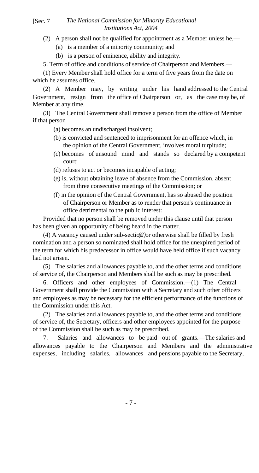#### [Sec. 7 *The National Commission for Minority Educational Institutions Act, 2004*

- (2) A person shall not be qualified for appointment as a Member unless he,—
	- (a) is a member of a minority community; and
	- (b) is a person of eminence, ability and integrity.

5. Term of office and conditions of service of Chairperson and Members.—

(1) Every Member shall hold office for a term of five years from the date on which he assumes office.

(2) A Member may, by writing under his hand addressed to the Central Government, resign from the office of Chairperson or, as the case may be, of Member at any time.

(3) The Central Government shall remove a person from the office of Member if that person

- (a) becomes an undischarged insolvent;
- (b) is convicted and sentenced to imprisonment for an offence which, in the opinion of the Central Government, involves moral turpitude;
- (c) becomes of unsound mind and stands so declared by a competent court;
- (d) refuses to act or becomes incapable of acting;
- (e) is, without obtaining leave of absence from the Commission, absent from three consecutive meetings of the Commission; or
- (f) in the opinion of the Central Government, has so abused the position of Chairperson or Member as to render that person's continuance in office detrimental to the public interest:

Provided that no person shall be removed under this clause until that person has been given an opportunity of being heard in the matter.

(4) A vacancy caused under sub-section<sup>2</sup> for otherwise shall be filled by fresh nomination and a person so nominated shall hold office for the unexpired period of the term for which his predecessor in office would have held office if such vacancy had not arisen.

(5) The salaries and allowances payable to, and the other terms and conditions of service of, the Chairperson and Members shall be such as may be prescribed.

6. Officers and other employees of Commission.—(1) The Central Government shall provide the Commission with a Secretary and such other officers and employees as may be necessary for the efficient performance of the functions of the Commission under this Act.

(2) The salaries and allowances payable to, and the other terms and conditions of service of, the Secretary, officers and other employees appointed for the purpose of the Commission shall be such as may be prescribed.

7. Salaries and allowances to be paid out of grants.—The salaries and allowances payable to the Chairperson and Members and the administrative expenses, including salaries, allowances and pensions payable to the Secretary,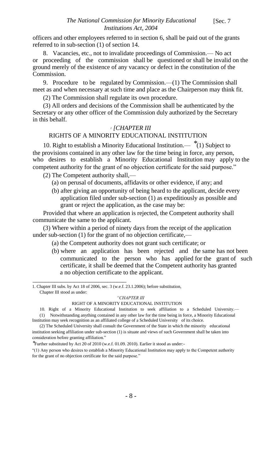officers and other employees referred to in section 6, shall be paid out of the grants referred to in sub-section (1) of section 14.

8. Vacancies, etc., not to invalidate proceedings of Commission.— No act or proceeding of the commission shall be questioned or shall be invalid on the ground merely of the existence of any vacancy or defect in the constitution of the Commission.

9. Procedure to be regulated by Commission.—(1) The Commission shall meet as and when necessary at such time and place as the Chairperson may think fit.

(2) The Commission shall regulate its own procedure.

(3) All orders and decisions of the Commission shall be authenticated by the Secretary or any other officer of the Commission duly authorized by the Secretary in this behalf.

#### *<sup>1</sup> [CHAPTER III*

#### RIGHTS OF A MINORITY EDUCATIONAL INSTITUTION

10. Right to establish a Minority Educational Institution.— \*(1) Subject to the provisions contained in any other law for the time being in force, any person, who desires to establish a Minority Educational Institution may apply to the competent authority for the grant of no objection certificate for the said purpose."

(2) The Competent authority shall,—

- (a) on perusal of documents, affidavits or other evidence, if any; and
- (b) after giving an opportunity of being heard to the applicant, decide every application filed under sub-section (1) as expeditiously as possible and grant or reject the application, as the case may be:

Provided that where an application is rejected, the Competent authority shall communicate the same to the applicant.

(3) Where within a period of ninety days from the receipt of the application under sub-section (1) for the grant of no objection certificate,—

(a) the Competent authority does not grant such certificate; or

(b) where an application has been rejected and the same has not been communicated to the person who has applied for the grant of such certificate, it shall be deemed that the Competent authority has granted a no objection certificate to the applicant.

1. Chapter III subs. by Act 18 of 2006, sec. 3 (w.e.f. 23.1.2006); before substitution, Chapter III stood as under:

\_\_\_\_\_\_\_\_\_\_\_\_\_\_\_\_\_\_\_\_\_\_\_\_\_\_\_\_\_\_

*"CHAPTER III*

#### RIGHT OF A MINORITY EDUCATIONAL INSTITUTION

10. Right of a Minority Educational Institution to seek affiliation to a Scheduled University.— (1) Notwithstanding anything contained in any other law for the time being in force, a Minority Educational Institution may seek recognition as an affiliated college of a Scheduled University of its choice.

(2) The Scheduled University shall consult the Government of the State in which the minority educational institution seeking affiliation under sub-section (1) is situate and views of such Government shall be taken into consideration before granting affiliation."

\*Further substituted by Act 20 of 2010 (w.e.f. 01.09. 2010). Earlier it stood as under:-

"(1) Any person who desires to establish a Minority Educational Institution may apply to the Competent authority for the grant of no objection certificate for the said purpose."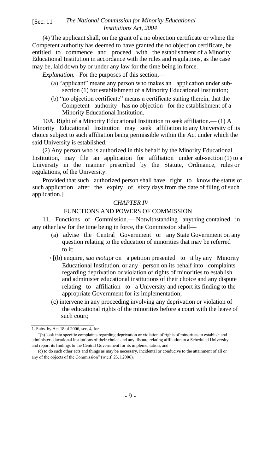#### *The National Commission for Minority Educational* [Sec. 11 *Institutions Act, 2004*

(4) The applicant shall, on the grant of a no objection certificate or where the Competent authority has deemed to have granted the no objection certificate, be entitled to commence and proceed with the establishment of a Minority Educational Institution in accordance with the rules and regulations, as the case may be, laid down by or under any law for the time being in force.

*Explanation.—*For the purposes of this section,—

- (a) "applicant" means any person who makes an application under subsection (1) for establishment of a Minority Educational Institution;
- (b) "no objection certificate" means a certificate stating therein, that the Competent authority has no objection for the establishment of a Minority Educational Institution.

10A. Right of a Minority Educational Institution to seek affiliation.— (1) A Minority Educational Institution may seek affiliation to any University of its choice subject to such affiliation being permissible within the Act under which the said University is established.

(2) Any person who is authorized in this behalf by the Minority Educational Institution, may file an application for affiliation under sub-section (1) to a University in the manner prescribed by the Statute, Ordinance, rules or regulations, of the University:

Provided that such authorized person shall have right to know the status of such application after the expiry of sixty days from the date of filing of such application.]

#### *CHAPTER IV*

#### FUNCTIONS AND POWERS OF COMMISSION

11. Functions of Commission.— Notwithstanding anything contained in any other law for the time being in force, the Commission shall—

- (a) advise the Central Government or any State Government on any question relating to the education of minorities that may be referred to it;
- <sup>1</sup> [(b) enquire, *suo motu,*or on a petition presented to it by any Minority Educational Institution, or any person on its behalf into complaints regarding deprivation or violation of rights of minorities to establish and administer educational institutions of their choice and any dispute relating to affiliation to a University and report its finding to the appropriate Government for its implementation;
- (c) intervene in any proceeding involving any deprivation or violation of the educational rights of the minorities before a court with the leave of such court;

\_\_\_\_\_\_\_\_\_\_\_\_\_\_\_\_\_\_\_\_ 1. Subs. by Act 18 of 2006, sec. 4, for

<sup>&</sup>quot;(b) look into specific complaints regarding deprivation or violation of rights of minorities to establish and administer educational institutions of their choice and any dispute relating affiliation to a Scheduled University and report its findings to the Central Government for its implementation; and

<sup>(</sup>c) to do such other acts and things as may be necessary, incidental or conducive to the attainment of all or any of the objects of the Commission" (w.e.f. 23.1.2006).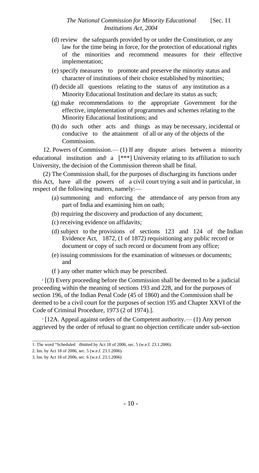- (d) review the safeguards provided by or under the Constitution, or any law for the time being in force, for the protection of educational rights of the minorities and recommend measures for their effective implementation;
- (e) specify measures to promote and preserve the minority status and character of institutions of their choice established by minorities;
- (f) decide all questions relating to the status of any institution as a Minority Educational Institution and declare its status as such;
- (g) make recommendations to the appropriate Government for the effective, implementation of programmes and schemes relating to the Minority Educational Institutions; and
- (h) do such other acts and things as may be necessary, incidental or conducive to the attainment of all or any of the objects of the Commission.

12. Powers of Commission.— (1) If any dispute arises between a minority educational institution and a  $[***]$  University relating to its affiliation to such University, the decision of the Commission thereon shall be final.

(2) The Commission shall, for the purposes of discharging its functions under this Act, have all the powers of a civil court trying a suit and in particular, in respect of the following matters, namely:—

- (a) summoning and enforcing the attendance of any person from any part of India and examining him on oath;
- (b) requiring the discovery and production of any document;
- (c) receiving evidence on affidavits;
- (d) subject to the provisions of sections 123 and 124 of the Indian Evidence Act, 1872, (1 of 1872) requisitioning any public record or document or copy of such record or document from any office;
- (e) issuing commissions for the examination of witnesses or documents; and
- (f ) any other matter which may be prescribed.

 $2$  [(3) Every proceeding before the Commission shall be deemed to be a judicial proceeding within the meaning of sections 193 and 228, and for the purposes of section 196, of the Indian Penal Code (45 of 1860) and the Commission shall be deemed to be a civil court for the purposes of section 195 and Chapter XXVI of the Code of Criminal Procedure, 1973 (2 of 1974).].

<sup>3</sup> [12A. Appeal against orders of the Competent authority.— (1) Any person aggrieved by the order of refusal to grant no objection certificate under sub-section

\_\_\_\_\_\_\_\_\_\_\_\_\_\_\_\_\_\_\_\_\_\_\_\_\_\_\_\_\_\_\_\_\_\_\_

<sup>1.</sup> The word "Scheduled omitted by Act 18 of 2006, sec. 5 (w.e.f. 23.1.2006).

<sup>2.</sup> Ins. by Act 18 of 2006, sec. 5 (w.e.f. 23.1.2006).

<sup>3.</sup> Ins. by Act 18 of 2006, sec. 6 (w.e.f. 23.1.2006)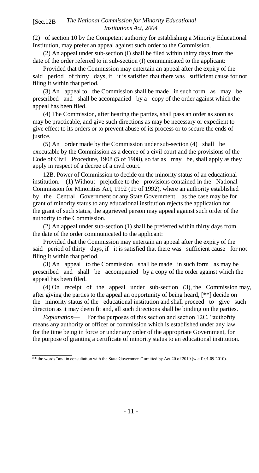#### *The National Commission for Minority Educational* [Sec.12B *Institutions Act, 2004*

(2) of section 10 by the Competent authority for establishing a Minority Educational Institution, may prefer an appeal against such order to the Commission.

(2) An appeal under sub-section (I) shall be filed within thirty days from the date of the order referred to in sub-section (I) communicated to the applicant:

Provided that the Commission may entertain an appeal after the expiry of the said period of thirty days, if it is satisfied that there was sufficient cause for not filing it within that period.

(3) An appeal to the Commission shall be made in such form as may be prescribed and shall be accompanied by a copy of the order against which the appeal has been filed.

(4) The Commission, after hearing the parties, shall pass an order as soon as may be practicable, and give such directions as may be necessary or expedient to give effect to its orders or to prevent abuse of its process or to secure the ends of justice.

(5) An order made by the Commission under sub-section (4) shall be executable by the Commission as a decree of a civil court and the provisions of the Code of Civil Procedure, 1908 (5 of 1908), so far as may be, shall apply as they apply in respect of a decree of a civil court.

12B. Power of Commission to decide on the minority status of an educational institution.—(1) Without prejudice to the provisions contained in the National Commission for Minorities Act, 1992 (19 of 1992), where an authority established by the Central Government or any State Government, as the case may be,for grant of minority status to any educational institution rejects the application for the grant of such status, the aggrieved person may appeal against such order of the authority to the Commission.

(2) An appeal under sub-section (1) shall be preferred within thirty days from the date of the order communicated to the applicant:

Provided that the Commission may entertain an appeal after the expiry of the said period of thirty days, if it is satisfied that there was sufficient cause for not filing it within that period.

(3) An appeal to the Commission shall be made in such form as may be prescribed and shall be accompanied by a copy of the order against which the appeal has been filed.

(4) On receipt of the appeal under sub-section (3), the Commission may, after giving the parties to the appeal an opportunity of being heard, [\*\*] decide on the minority status of the educational institution and shall proceed to give such direction as it may deem fit and, all such directions shall be binding on the parties.

*Explanation*— For the purposes of this section and section 12C, "authority" means any authority or officer or commission which is established under any law for the time being in force or under any order of the appropriate Government, for the purpose of granting a certificate of minority status to an educational institution.

\_\_\_\_\_\_\_\_\_\_\_\_\_\_\_\_\_\_ \*\* the words "and in consultation with the State Government" omitted by Act 20 of 2010 (w.e.f. 01.09.2010).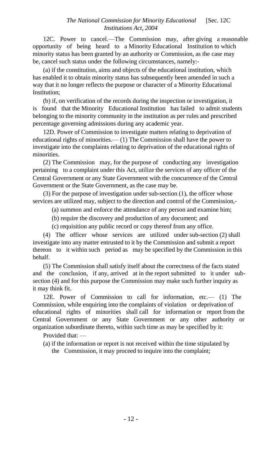12C. Power to cancel.—The Commission may, after giving a reasonable opportunity of being heard to a Minority Educational Institution to which minority status has been granted by an authority or Commission, as the case may be, cancel such status under the following circumstances, namely:-

(a) if the constitution, aims and objects of the educational institution, which has enabled it to obtain minority status has subsequently been amended in such a way that it no longer reflects the purpose or character of a Minority Educational Institution;

(b) if, on verification of the records during the inspection or investigation, it is found that the Minority Educational Institution has failed to admit students belonging to the minority community in the institution as per rules and prescribed percentage governing admissions during any academic year.

12D. Power of Commission to investigate matters relating to deprivation of educational rights of minorities.— (1) The Commission shall have the power to investigate into the complaints relating to deprivation of the educational rights of minorities.

(2) The Commission may, for the purpose of conducting any investigation pertaining to a complaint under this Act, utilize the services of any officer of the Central Government or any State Government with the concurrence of the Central Government or the State Government, as the case may be.

(3) For the purpose of investigation under sub-section (1), the officer whose services are utilized may, subject to the direction and control of the Commission,-

(a) summon and enforce the attendance of any person and examine him;

(b) require the discovery and production of any document; and

(c) requisition any public record or copy thereof from any office.

(4) The officer whose services are utilized under sub-section (2) shall investigate into any matter entrusted to it by the Commission and submit a report thereon to it within such period as may be specified by the Commission in this behalf.

(5) The Commission shall satisfy itself about the correctness of the facts stated and the conclusion, if any, arrived at in the report submitted to it under subsection (4) and for this purpose the Commission may make such further inquiry as it may think fit.

12E. Power of Commission to call for information, etc.— (1) The Commission, while enquiring into the complaints of violation or deprivation of educational rights of minorities shall call for information or report from the Central Government or any State Government or any other authority or organization subordinate thereto, within such time as may be specified by it:

Provided that:

(a) if the information or report is not received within the time stipulated by the Commission, it may proceed to inquire into the complaint;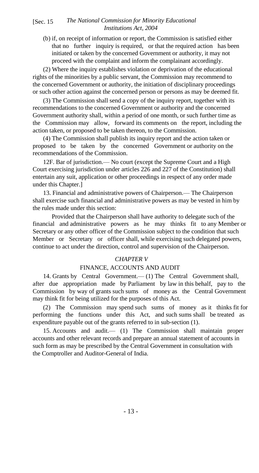#### [Sec. 15 The National Commission for Minority Educational *Institutions Act, 2004*

(b) if, on receipt of information or report, the Commission is satisfied either that no further inquiry is required, or that the required action has been initiated or taken by the concerned Government or authority, it may not proceed with the complaint and inform the complainant accordingly.

(2) Where the inquiry establishes violation or deprivation of the educational rights of the minorities by a public servant, the Commission may recommend to the concerned Government or authority, the initiation of disciplinary proceedings or such other action against the concerned person or persons as may be deemed fit.

(3) The Commission shall send a copy of the inquiry report, together with its recommendations to the concerned Government or authority and the concerned Government authority shall, within a period of one month, or such further time as the Commission may allow, forward its comments on the report, including the action taken, or proposed to be taken thereon, to the Commission.

(4) The Commission shall publish its inquiry report and the action taken or proposed to be taken by the concerned Government or authority on the recommendations of the Commission.

12F. Bar of jurisdiction.— No court (except the Supreme Court and a High Court exercising jurisdiction under articles 226 and 227 of the Constitution) shall entertain any suit, application or other proceedings in respect of any order made under this Chapter.]

13. Financial and administrative powers of Chairperson.— The Chairperson shall exercise such financial and administrative powers as may be vested in him by the rules made under this section:

Provided that the Chairperson shall have authority to delegate such of the financial and administrative powers as he may thinks fit to any Member or Secretary or any other officer of the Commission subject to the condition that such Member or Secretary or officer shall, while exercising such delegated powers, continue to act under the direction, control and supervision of the Chairperson.

#### *CHAPTER V*

#### FINANCE, ACCOUNTS AND AUDIT

14. Grants by Central Government.— (1) The Central Government shall, after due appropriation made by Parliament by law in this behalf, pay to the Commission by way of grants such sums of money as the Central Government may think fit for being utilized for the purposes of this Act.

(2) The Commission may spend such sums of money as it thinks fit for performing the functions under this Act, and such sums shall be treated as expenditure payable out of the grants referred to in sub-section (1).

15. Accounts and audit.— (1) The Commission shall maintain proper accounts and other relevant records and prepare an annual statement of accounts in such form as may be prescribed by the Central Government in consultation with the Comptroller and Auditor-General of India.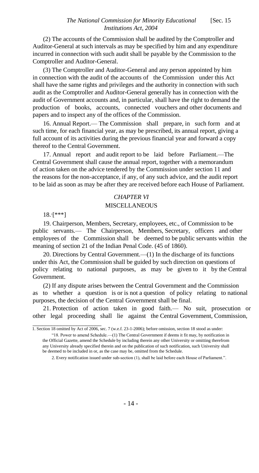(2) The accounts of the Commission shall be audited by the Comptroller and Auditor-General at such intervals as may be specified by him and any expenditure incurred in connection with such audit shall be payable by the Commission to the Comptroller and Auditor-General.

(3) The Comptroller and Auditor-General and any person appointed by him in connection with the audit of the accounts of the Commission under this Act shall have the same rights and privileges and the authority in connection with such audit as the Comptroller and Auditor-General generally has in connection with the audit of Government accounts and, in particular, shall have the right to demand the production of books, accounts, connected vouchers and other documents and papers and to inspect any of the offices of the Commission.

16. Annual Report.— The Commission shall prepare, in such form and at such time, for each financial year, as may be prescribed, its annual report, giving a full account of its activities during the previous financial year and forward a copy thereof to the Central Government.

17. Annual report and audit report to be laid before Parliament.—The Central Government shall cause the annual report, together with a memorandum of action taken on the advice tendered by the Commission under section 11 and the reasons for the non-acceptance, if any, of any such advice, and the audit report to be laid as soon as may be after they are received before each House of Parliament.

#### *CHAPTER VI*

#### **MISCELLANEOUS**

 $18.$  [\*\*\*]

\_\_\_\_\_\_\_\_\_\_\_\_\_\_\_\_\_\_\_\_\_\_

19. Chairperson, Members, Secretary, employees, etc., of Commission to be public servants.— The Chairperson, Members, Secretary, officers and other employees of the Commission shall be deemed to be public servants within the meaning of section 21 of the Indian Penal Code. (45 of 1860).

20. Directions by Central Government.—(1) In the discharge of its functions under this Act, the Commission shall be guided by such direction on questions of policy relating to national purposes, as may be given to it by the Central Government.

(2) If any dispute arises between the Central Government and the Commission as to whether a question is or is not a question of policy relating to national purposes, the decision of the Central Government shall be final.

21. Protection of action taken in good faith.— No suit, prosecution or other legal proceeding shall lie against the Central Government, Commission,

<sup>1.</sup> Section 18 omitted by Act of 2006, sec. 7 (w.e.f. 23-1-2006); before omission, section 18 stood as under:

<sup>&</sup>quot;18. Power to amend Schedule.—(1) The Central Government if deems it fit may, by notification in the Official Gazette, amend the Schedule by including therein any other University or omitting therefrom any University already specified therein and on the publication of such notification, such University shall be deemed to be included in or, as the case may be, omitted from the Schedule.

<sup>2.</sup> Every notification issued under sub-section (1), shall be laid before each House of Parliament.".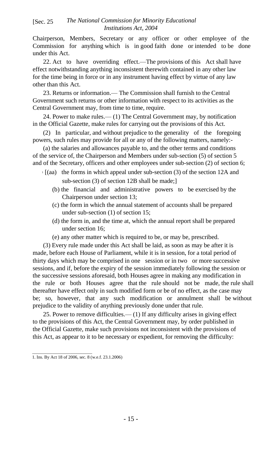#### *The National Commission for Minority Educational* [Sec. 25 *Institutions Act, 2004*

Chairperson, Members, Secretary or any officer or other employee of the Commission for anything which is in good faith done or intended to be done under this Act.

22. Act to have overriding effect.—The provisions of this Act shall have effect notwithstanding anything inconsistent therewith contained in any other law for the time being in force or in any instrument having effect by virtue of any law other than this Act.

23. Returns or information.— The Commission shall furnish to the Central Government such returns or other information with respect to its activities as the Central Government may, from time to time, require.

24. Power to make rules.— (1) The Central Government may, by notification in the Official Gazette, make rules for carrying out the provisions of this Act.

(2) In particular, and without prejudice to the generality of the foregoing powers, such rules may provide for all or any of the following matters, namely:-

(a) the salaries and allowances payable to, and the other terms and conditions of the service of, the Chairperson and Members under sub-section (5) of section 5 and of the Secretary, officers and other employees under sub-section (2) of section 6;

- <sup>1</sup> [(aa) the forms in which appeal under sub-section (3) of the section 12A and sub-section (3) of section 12B shall be made;]
	- (b) the financial and administrative powers to be exercised by the Chairperson under section 13;
	- (c) the form in which the annual statement of accounts shall be prepared under sub-section (1) of section 15;
	- (d) the form in, and the time at, which the annual report shall be prepared under section 16;
	- (e) any other matter which is required to be, or may be, prescribed.

(3) Every rule made under this Act shall be laid, as soon as may be after it is made, before each House of Parliament, while it is in session, for a total period of thirty days which may be comprised in one session or in two or more successive sessions, and if, before the expiry of the session immediately following the session or the successive sessions aforesaid, both Houses agree in making any modification in the rule or both Houses agree that the rule should not be made, the rule shall thereafter have effect only in such modified form or be of no effect, as the case may be; so, however, that any such modification or annulment shall be without prejudice to the validity of anything previously done under that rule.

25. Power to remove difficulties.— (1) If any difficulty arises in giving effect to the provisions of this Act, the Central Government may, by order published in the Official Gazette, make such provisions not inconsistent with the provisions of this Act, as appear to it to be necessary or expedient, for removing the difficulty:

\_\_\_\_\_\_\_\_\_\_\_\_\_\_\_\_\_\_\_\_\_\_\_\_\_\_\_ 1. Ins. By Act 18 of 2006, sec. 8 (w.e.f. 23.1.2006)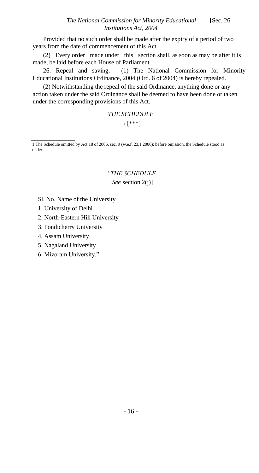Provided that no such order shall be made after the expiry of a period of two years from the date of commencement of this Act.

(2) Every order made under this section shall, as soon as may be after it is made, be laid before each House of Parliament.

26. Repeal and saving.— (1) The National Commission for Minority Educational Institutions Ordinance, 2004 (Ord. 6 of 2004) is hereby repealed.

(2) Notwithstanding the repeal of the said Ordinance, anything done or any action taken under the said Ordinance shall be deemed to have been done or taken under the corresponding provisions of this Act.

> *THE SCHEDULE*  $_1$   $[***!]$

1.The Schedule omitted by Act 18 of 2006, sec. 9 (w.e.f. 23.1.2006); before omission, the Schedule stood as under:

#### *"THE SCHEDULE* [*See* section 2(j)]

- Sl. No. Name of the University
- 1. University of Delhi

\_\_\_\_\_\_\_\_\_\_\_\_\_\_

- 2. North-Eastern Hill University
- 3. Pondicherry University
- 4. Assam University
- 5. Nagaland University
- 6. Mizoram University."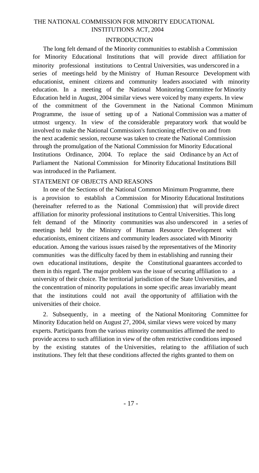#### THE NATIONAL COMMISSION FOR MINORITY EDUCATIONAL INSTITUTIONS ACT, 2004

#### INTRODUCTION

The long felt demand of the Minority communities to establish a Commission for Minority Educational Institutions that will provide direct affiliation for minority professional institutions to Central Universities, was underscored in a series of meetings held by the Ministry of Human Resource Development with educationist, eminent citizens and community leaders associated with minority education. In a meeting of the National Monitoring Committee for Minority Education held in August, 2004 similar views were voiced by many experts. In view of the commitment of the Government in the National Common Minimum Programme, the issue of setting up of a National Commission was a matter of utmost urgency. In view of the considerable preparatory work that would be involved to make the National Commission's functioning effective on and from the next academic session, recourse was taken to create the National Commission through the promulgation of the National Commission for Minority Educational Institutions Ordinance, 2004. To replace the said Ordinance by an Act of Parliament the National Commission for Minority Educational Institutions Bill was introduced in the Parliament.

#### STATEMENT OF OBJECTS AND REASONS

In one of the Sections of the National Common Minimum Programme, there is a provision to establish a Commission for Minority Educational Institutions (hereinafter referred to as the National Commission) that will provide direct affiliation for minority professional institutions to Central Universities. This long felt demand of the Minority communities was also underscored in a series of meetings held by the Ministry of Human Resource Development with educationists, eminent citizens and community leaders associated with Minority education. Among the various issues raised by the representatives of the Minority communities was the difficulty faced by them in establishing and running their own educational institutions, despite the Constitutional guarantees accorded to them in this regard. The major problem was the issue of securing affiliation to a university of their choice. The territorial jurisdiction of the State Universities, and the concentration of minority populations in some specific areas invariably meant that the institutions could not avail the opportunity of affiliation with the universities of their choice.

2. Subsequently, in a meeting of the National Monitoring Committee for Minority Education held on August 27, 2004, similar views were voiced by many experts. Participants from the various minority communities affirmed the need to provide access to such affiliation in view of the often restrictive conditions imposed by the existing statutes of the Universities, relating to the affiliation of such institutions. They felt that these conditions affected the rights granted to them on